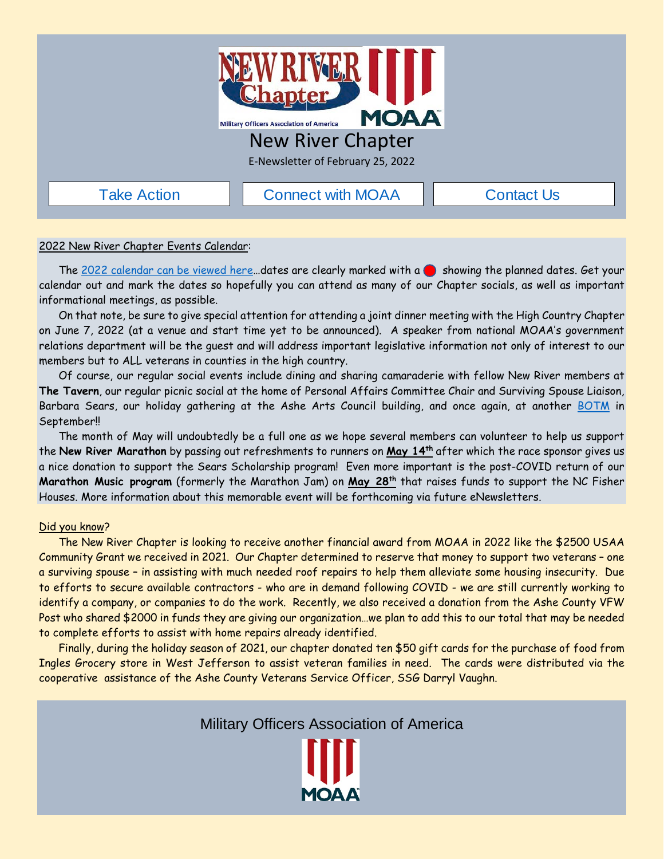

## New River Chapter

E-Newsletter of February 25, 2022

[Take Action](https://takeaction.moaa.org/moaa/?0)  $\Box$  [Connect with MOAA](https://www.moaa.org/content/about-moaa/contact-moaa/)  $\Box$  [Contact Us](https://www.newrivermoaa.org/contact.php)

### 2022 New River Chapter Events Calendar:

The 2022 calendar can be viewed here...dates are clearly marked with a showing the planned dates. Get your calendar out and mark the dates so hopefully you can attend as many of our Chapter socials, as well as important informational meetings, as possible.

On that note, be sure to give special attention for attending a joint dinner meeting with the High Country Chapter on June 7, 2022 (at a venue and start time yet to be announced). A speaker from national MOAA's government relations department will be the guest and will address important legislative information not only of interest to our members but to ALL veterans in counties in the high country.

Of course, our regular social events include dining and sharing camaraderie with fellow New River members at **The Tavern**, our regular picnic social at the home of Personal Affairs Committee Chair and Surviving Spouse Liaison, Barbara Sears, our holiday gathering at the Ashe Arts Council building, and once again, at another [BOTM](https://www.newrivermoaa.org/photos/index.php?id=1600823792) in September!!

The month of May will undoubtedly be a full one as we hope several members can volunteer to help us support the **New River Marathon** by passing out refreshments to runners on **May 14th** after which the race sponsor gives us a nice donation to support the Sears Scholarship program! Even more important is the post-COVID return of our **Marathon Music program** (formerly the Marathon Jam) on **May 28th** that raises funds to support the NC Fisher Houses. More information about this memorable event will be forthcoming via future eNewsletters.

#### Did you know?

The New River Chapter is looking to receive another financial award from MOAA in 2022 like the \$2500 USAA Community Grant we received in 2021. Our Chapter determined to reserve that money to support two veterans – one a surviving spouse – in assisting with much needed roof repairs to help them alleviate some housing insecurity. Due to efforts to secure available contractors - who are in demand following COVID - we are still currently working to identify a company, or companies to do the work. Recently, we also received a donation from the Ashe County VFW Post who shared \$2000 in funds they are giving our organization…we plan to add this to our total that may be needed to complete efforts to assist with home repairs already identified.

Finally, during the holiday season of 2021, our chapter donated ten \$50 gift cards for the purchase of food from Ingles Grocery store in West Jefferson to assist veteran families in need. The cards were distributed via the cooperative assistance of the Ashe County Veterans Service Officer, SSG Darryl Vaughn.

Military Officers Association of America